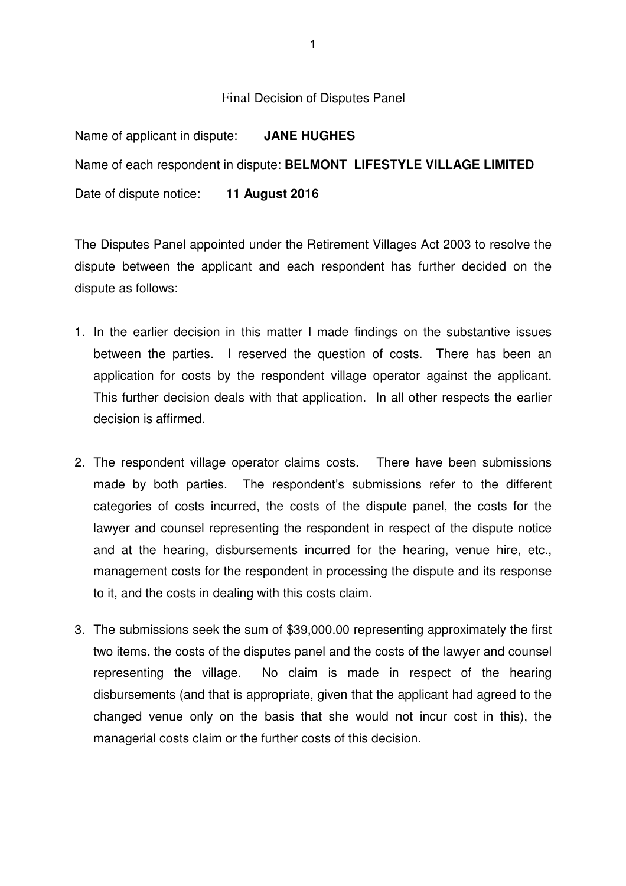#### Final Decision of Disputes Panel

Name of applicant in dispute: **JANE HUGHES** Name of each respondent in dispute: **BELMONT LIFESTYLE VILLAGE LIMITED**  Date of dispute notice: **11 August 2016**

The Disputes Panel appointed under the Retirement Villages Act 2003 to resolve the dispute between the applicant and each respondent has further decided on the dispute as follows:

- 1. In the earlier decision in this matter I made findings on the substantive issues between the parties. I reserved the question of costs. There has been an application for costs by the respondent village operator against the applicant. This further decision deals with that application. In all other respects the earlier decision is affirmed.
- 2. The respondent village operator claims costs. There have been submissions made by both parties. The respondent's submissions refer to the different categories of costs incurred, the costs of the dispute panel, the costs for the lawyer and counsel representing the respondent in respect of the dispute notice and at the hearing, disbursements incurred for the hearing, venue hire, etc., management costs for the respondent in processing the dispute and its response to it, and the costs in dealing with this costs claim.
- 3. The submissions seek the sum of \$39,000.00 representing approximately the first two items, the costs of the disputes panel and the costs of the lawyer and counsel representing the village. No claim is made in respect of the hearing disbursements (and that is appropriate, given that the applicant had agreed to the changed venue only on the basis that she would not incur cost in this), the managerial costs claim or the further costs of this decision.

1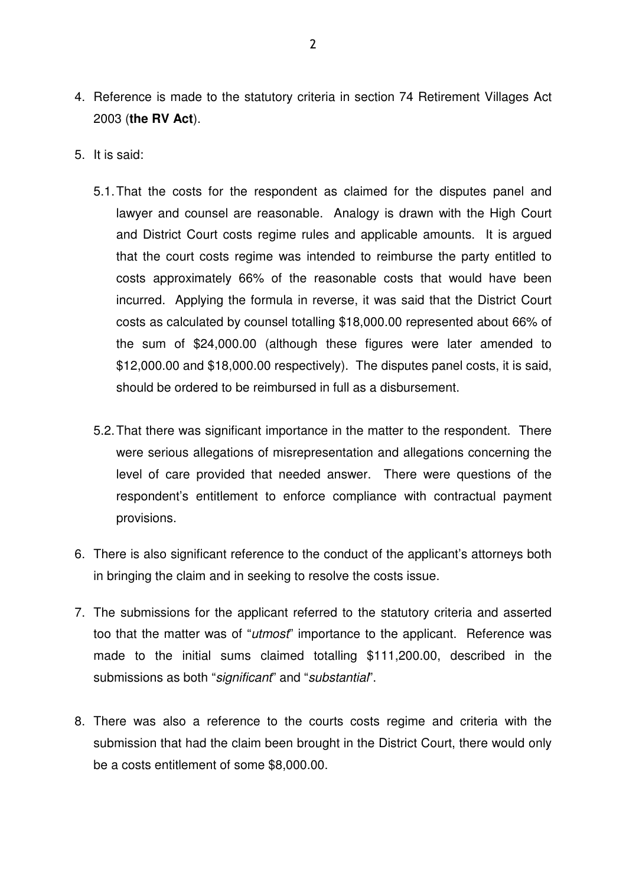- 4. Reference is made to the statutory criteria in section 74 Retirement Villages Act 2003 (**the RV Act**).
- 5. It is said:
	- 5.1. That the costs for the respondent as claimed for the disputes panel and lawyer and counsel are reasonable. Analogy is drawn with the High Court and District Court costs regime rules and applicable amounts. It is argued that the court costs regime was intended to reimburse the party entitled to costs approximately 66% of the reasonable costs that would have been incurred. Applying the formula in reverse, it was said that the District Court costs as calculated by counsel totalling \$18,000.00 represented about 66% of the sum of \$24,000.00 (although these figures were later amended to \$12,000.00 and \$18,000.00 respectively). The disputes panel costs, it is said, should be ordered to be reimbursed in full as a disbursement.
	- 5.2. That there was significant importance in the matter to the respondent. There were serious allegations of misrepresentation and allegations concerning the level of care provided that needed answer. There were questions of the respondent's entitlement to enforce compliance with contractual payment provisions.
- 6. There is also significant reference to the conduct of the applicant's attorneys both in bringing the claim and in seeking to resolve the costs issue.
- 7. The submissions for the applicant referred to the statutory criteria and asserted too that the matter was of "*utmost*" importance to the applicant. Reference was made to the initial sums claimed totalling \$111,200.00, described in the submissions as both "significant" and "substantial".
- 8. There was also a reference to the courts costs regime and criteria with the submission that had the claim been brought in the District Court, there would only be a costs entitlement of some \$8,000.00.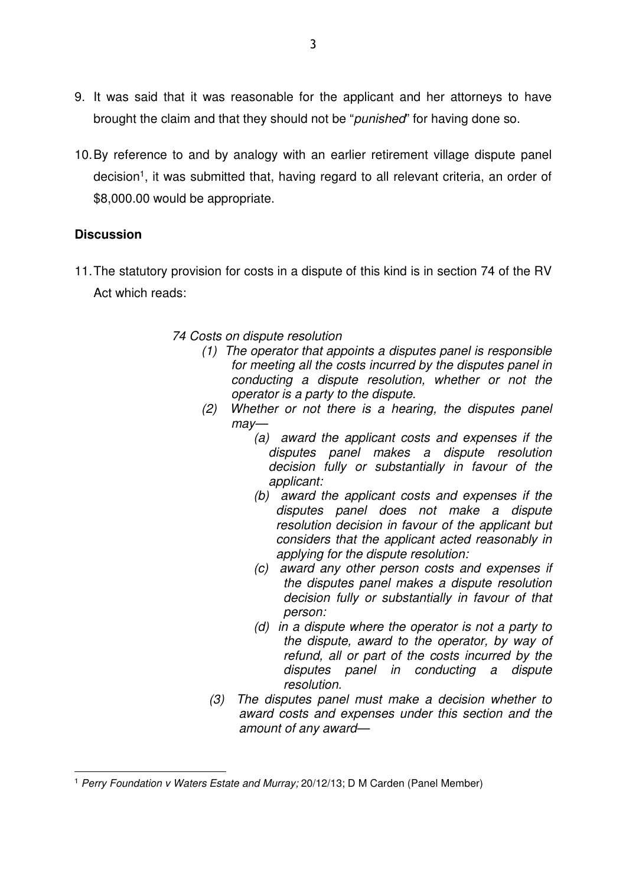- 9. It was said that it was reasonable for the applicant and her attorneys to have brought the claim and that they should not be "*punished*" for having done so.
- 10. By reference to and by analogy with an earlier retirement village dispute panel decision<sup>1</sup>, it was submitted that, having regard to all relevant criteria, an order of \$8,000.00 would be appropriate.

# **Discussion**

 $\overline{a}$ 

11. The statutory provision for costs in a dispute of this kind is in section 74 of the RV Act which reads:

## 74 Costs on dispute resolution

- (1) The operator that appoints a disputes panel is responsible for meeting all the costs incurred by the disputes panel in conducting a dispute resolution, whether or not the operator is a party to the dispute.
- (2) Whether or not there is a hearing, the disputes panel may—
	- (a) award the applicant costs and expenses if the disputes panel makes a dispute resolution decision fully or substantially in favour of the applicant:
	- (b) award the applicant costs and expenses if the disputes panel does not make a dispute resolution decision in favour of the applicant but considers that the applicant acted reasonably in applying for the dispute resolution:
	- (c) award any other person costs and expenses if the disputes panel makes a dispute resolution decision fully or substantially in favour of that person:
	- (d) in a dispute where the operator is not a party to the dispute, award to the operator, by way of refund, all or part of the costs incurred by the disputes panel in conducting a dispute resolution.
	- (3) The disputes panel must make a decision whether to award costs and expenses under this section and the amount of any award—

<sup>&</sup>lt;sup>1</sup> Perry Foundation v Waters Estate and Murray; 20/12/13; D M Carden (Panel Member)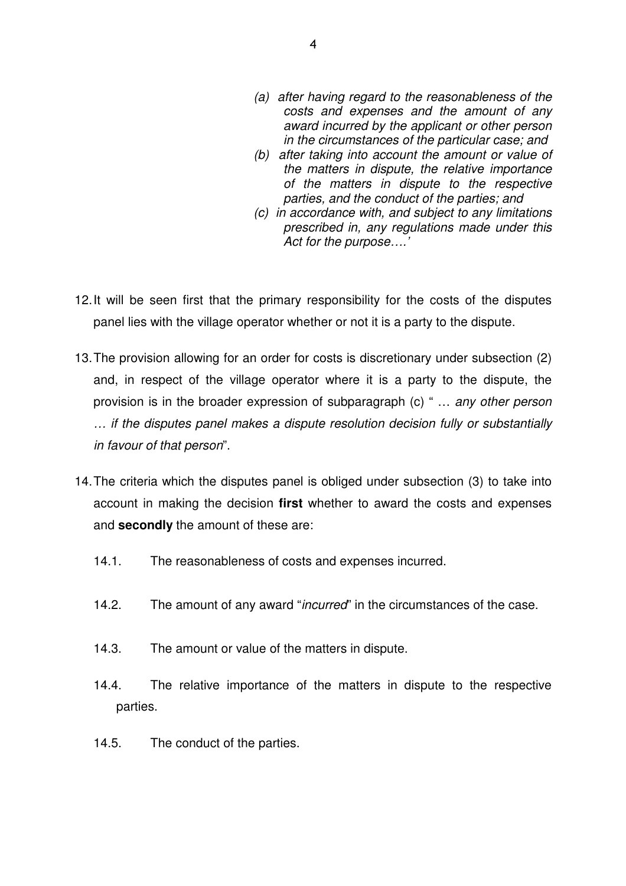- (a) after having regard to the reasonableness of the costs and expenses and the amount of any award incurred by the applicant or other person in the circumstances of the particular case; and
- (b) after taking into account the amount or value of the matters in dispute, the relative importance of the matters in dispute to the respective parties, and the conduct of the parties; and
- (c) in accordance with, and subject to any limitations prescribed in, any regulations made under this Act for the purpose….'
- 12. It will be seen first that the primary responsibility for the costs of the disputes panel lies with the village operator whether or not it is a party to the dispute.
- 13. The provision allowing for an order for costs is discretionary under subsection (2) and, in respect of the village operator where it is a party to the dispute, the provision is in the broader expression of subparagraph (c) " … any other person … if the disputes panel makes a dispute resolution decision fully or substantially in favour of that person".
- 14. The criteria which the disputes panel is obliged under subsection (3) to take into account in making the decision **first** whether to award the costs and expenses and **secondly** the amount of these are:
	- 14.1. The reasonableness of costs and expenses incurred.
	- 14.2. The amount of any award "*incurred*" in the circumstances of the case.
	- 14.3. The amount or value of the matters in dispute.
	- 14.4. The relative importance of the matters in dispute to the respective parties.
	- 14.5. The conduct of the parties.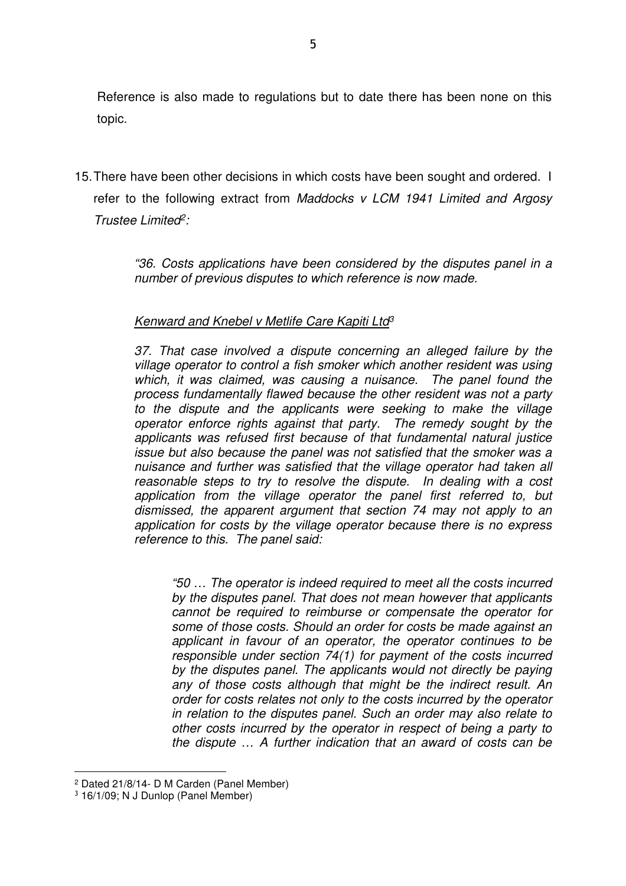Reference is also made to regulations but to date there has been none on this topic.

15. There have been other decisions in which costs have been sought and ordered. I refer to the following extract from Maddocks v LCM 1941 Limited and Argosy Trustee Limited<sup>2</sup>:

> "36. Costs applications have been considered by the disputes panel in a number of previous disputes to which reference is now made.

## Kenward and Knebel v Metlife Care Kapiti Ltd<sup>3</sup>

37. That case involved a dispute concerning an alleged failure by the village operator to control a fish smoker which another resident was using which, it was claimed, was causing a nuisance. The panel found the process fundamentally flawed because the other resident was not a party to the dispute and the applicants were seeking to make the village operator enforce rights against that party. The remedy sought by the applicants was refused first because of that fundamental natural justice issue but also because the panel was not satisfied that the smoker was a nuisance and further was satisfied that the village operator had taken all reasonable steps to try to resolve the dispute. In dealing with a cost application from the village operator the panel first referred to, but dismissed, the apparent argument that section 74 may not apply to an application for costs by the village operator because there is no express reference to this. The panel said:

"50 … The operator is indeed required to meet all the costs incurred by the disputes panel. That does not mean however that applicants cannot be required to reimburse or compensate the operator for some of those costs. Should an order for costs be made against an applicant in favour of an operator, the operator continues to be responsible under section 74(1) for payment of the costs incurred by the disputes panel. The applicants would not directly be paying any of those costs although that might be the indirect result. An order for costs relates not only to the costs incurred by the operator in relation to the disputes panel. Such an order may also relate to other costs incurred by the operator in respect of being a party to the dispute … A further indication that an award of costs can be

 $\overline{a}$ 

<sup>2</sup> Dated 21/8/14- D M Carden (Panel Member)

<sup>3</sup> 16/1/09; N J Dunlop (Panel Member)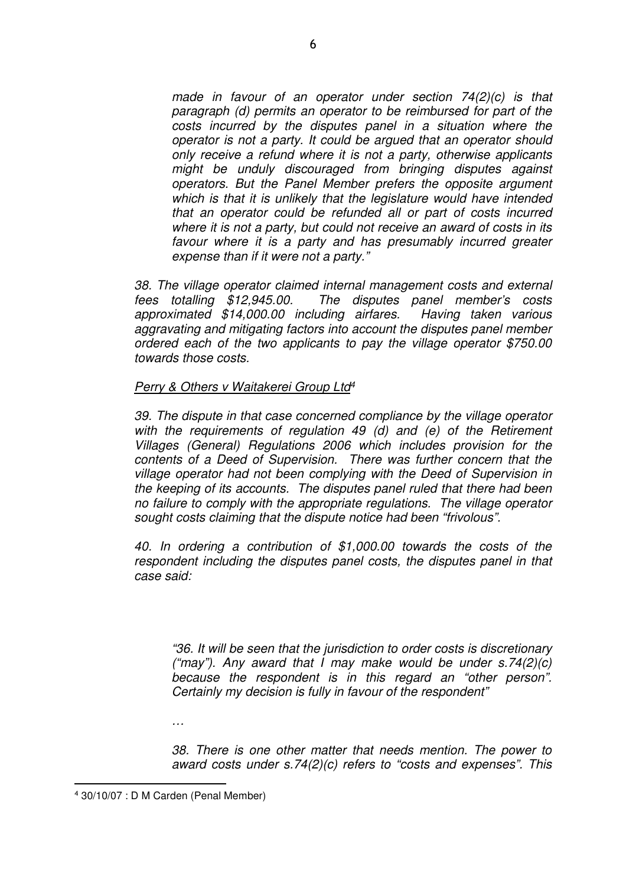made in favour of an operator under section 74(2)(c) is that paragraph (d) permits an operator to be reimbursed for part of the costs incurred by the disputes panel in a situation where the operator is not a party. It could be argued that an operator should only receive a refund where it is not a party, otherwise applicants might be unduly discouraged from bringing disputes against operators. But the Panel Member prefers the opposite argument which is that it is unlikely that the legislature would have intended that an operator could be refunded all or part of costs incurred where it is not a party, but could not receive an award of costs in its favour where it is a party and has presumably incurred greater expense than if it were not a party."

38. The village operator claimed internal management costs and external fees totalling \$12,945.00. The disputes panel member's costs approximated \$14,000.00 including airfares. Having taken various aggravating and mitigating factors into account the disputes panel member ordered each of the two applicants to pay the village operator \$750.00 towards those costs.

### Perry & Others v Waitakerei Group Ltd<sup>4</sup>

39. The dispute in that case concerned compliance by the village operator with the requirements of regulation 49 (d) and (e) of the Retirement Villages (General) Regulations 2006 which includes provision for the contents of a Deed of Supervision. There was further concern that the village operator had not been complying with the Deed of Supervision in the keeping of its accounts. The disputes panel ruled that there had been no failure to comply with the appropriate regulations. The village operator sought costs claiming that the dispute notice had been "frivolous".

40. In ordering a contribution of \$1,000.00 towards the costs of the respondent including the disputes panel costs, the disputes panel in that case said:

"36. It will be seen that the jurisdiction to order costs is discretionary ("may"). Any award that I may make would be under  $s.74(2)(c)$ because the respondent is in this regard an "other person". Certainly my decision is fully in favour of the respondent"

…

38. There is one other matter that needs mention. The power to award costs under s.74(2)(c) refers to "costs and expenses". This

 $\overline{a}$ 

<sup>4</sup> 30/10/07 : D M Carden (Penal Member)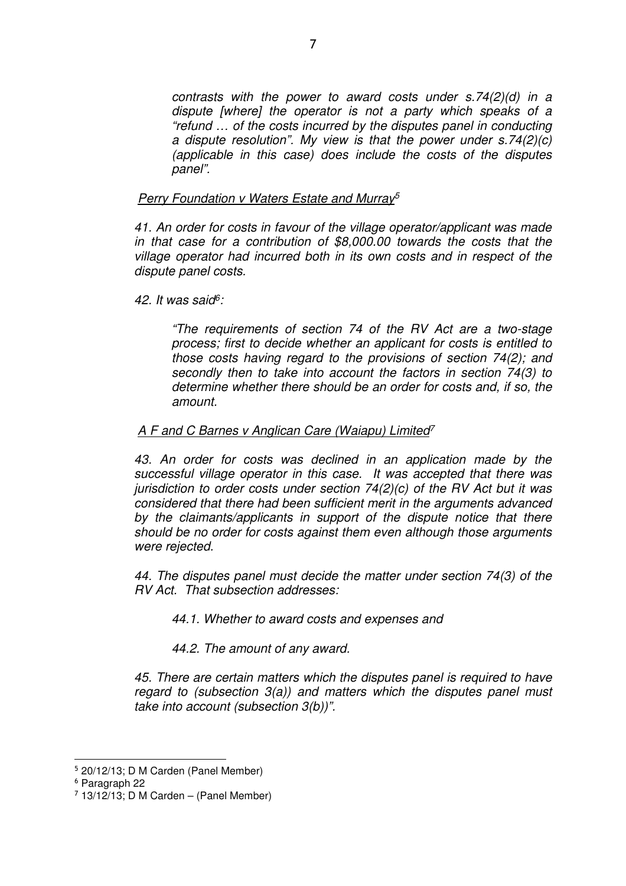contrasts with the power to award costs under s.74(2)(d) in a dispute [where] the operator is not a party which speaks of a "refund … of the costs incurred by the disputes panel in conducting a dispute resolution". My view is that the power under s.74(2)(c) (applicable in this case) does include the costs of the disputes panel".

## Perry Foundation v Waters Estate and Murray<sup>5</sup>

41. An order for costs in favour of the village operator/applicant was made in that case for a contribution of \$8,000.00 towards the costs that the village operator had incurred both in its own costs and in respect of the dispute panel costs.

42. It was said<sup>6</sup>:

"The requirements of section 74 of the RV Act are a two-stage process; first to decide whether an applicant for costs is entitled to those costs having regard to the provisions of section 74(2); and secondly then to take into account the factors in section 74(3) to determine whether there should be an order for costs and, if so, the amount.

## A F and C Barnes v Anglican Care (Waiapu) Limited<sup>7</sup>

43. An order for costs was declined in an application made by the successful village operator in this case. It was accepted that there was jurisdiction to order costs under section  $74(2)(c)$  of the RV Act but it was considered that there had been sufficient merit in the arguments advanced by the claimants/applicants in support of the dispute notice that there should be no order for costs against them even although those arguments were rejected.

44. The disputes panel must decide the matter under section 74(3) of the RV Act. That subsection addresses:

44.1. Whether to award costs and expenses and

44.2. The amount of any award.

45. There are certain matters which the disputes panel is required to have regard to (subsection  $3(a)$ ) and matters which the disputes panel must take into account (subsection 3(b))".

 $\overline{a}$ 

<sup>5</sup> 20/12/13; D M Carden (Panel Member)

<sup>6</sup> Paragraph 22

 $7$  13/12/13; D M Carden – (Panel Member)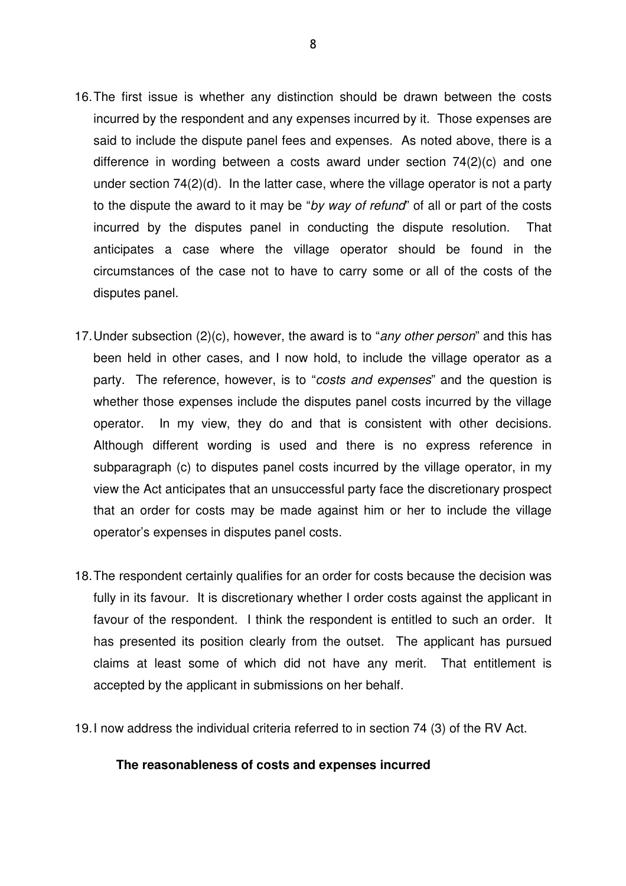- 16. The first issue is whether any distinction should be drawn between the costs incurred by the respondent and any expenses incurred by it. Those expenses are said to include the dispute panel fees and expenses. As noted above, there is a difference in wording between a costs award under section 74(2)(c) and one under section 74(2)(d). In the latter case, where the village operator is not a party to the dispute the award to it may be "by way of refund" of all or part of the costs incurred by the disputes panel in conducting the dispute resolution. That anticipates a case where the village operator should be found in the circumstances of the case not to have to carry some or all of the costs of the disputes panel.
- 17. Under subsection (2)(c), however, the award is to "any other person" and this has been held in other cases, and I now hold, to include the village operator as a party. The reference, however, is to "costs and expenses" and the question is whether those expenses include the disputes panel costs incurred by the village operator. In my view, they do and that is consistent with other decisions. Although different wording is used and there is no express reference in subparagraph (c) to disputes panel costs incurred by the village operator, in my view the Act anticipates that an unsuccessful party face the discretionary prospect that an order for costs may be made against him or her to include the village operator's expenses in disputes panel costs.
- 18. The respondent certainly qualifies for an order for costs because the decision was fully in its favour. It is discretionary whether I order costs against the applicant in favour of the respondent. I think the respondent is entitled to such an order. It has presented its position clearly from the outset. The applicant has pursued claims at least some of which did not have any merit. That entitlement is accepted by the applicant in submissions on her behalf.
- 19. I now address the individual criteria referred to in section 74 (3) of the RV Act.

#### **The reasonableness of costs and expenses incurred**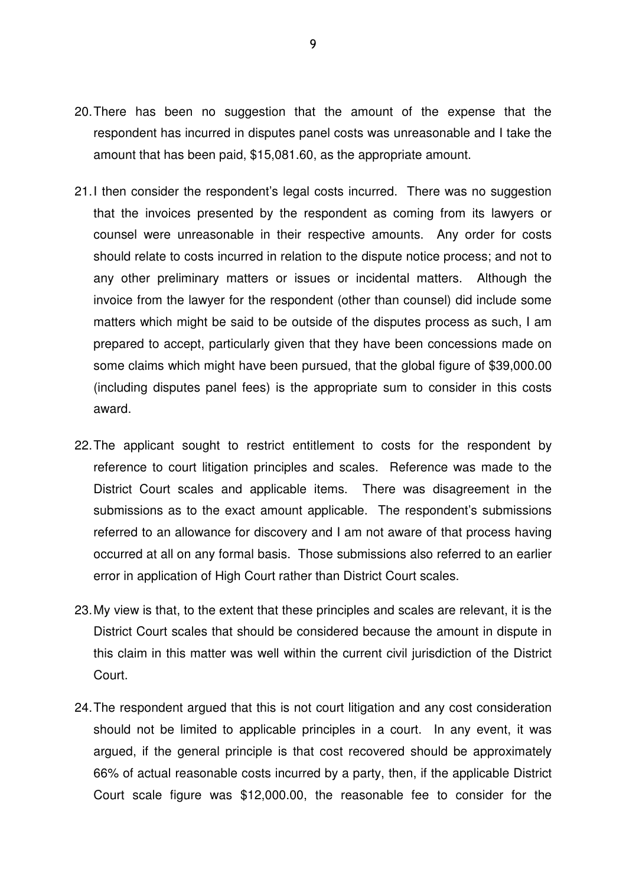- 20. There has been no suggestion that the amount of the expense that the respondent has incurred in disputes panel costs was unreasonable and I take the amount that has been paid, \$15,081.60, as the appropriate amount.
- 21. I then consider the respondent's legal costs incurred. There was no suggestion that the invoices presented by the respondent as coming from its lawyers or counsel were unreasonable in their respective amounts. Any order for costs should relate to costs incurred in relation to the dispute notice process; and not to any other preliminary matters or issues or incidental matters. Although the invoice from the lawyer for the respondent (other than counsel) did include some matters which might be said to be outside of the disputes process as such, I am prepared to accept, particularly given that they have been concessions made on some claims which might have been pursued, that the global figure of \$39,000.00 (including disputes panel fees) is the appropriate sum to consider in this costs award.
- 22. The applicant sought to restrict entitlement to costs for the respondent by reference to court litigation principles and scales. Reference was made to the District Court scales and applicable items. There was disagreement in the submissions as to the exact amount applicable. The respondent's submissions referred to an allowance for discovery and I am not aware of that process having occurred at all on any formal basis. Those submissions also referred to an earlier error in application of High Court rather than District Court scales.
- 23. My view is that, to the extent that these principles and scales are relevant, it is the District Court scales that should be considered because the amount in dispute in this claim in this matter was well within the current civil jurisdiction of the District Court.
- 24. The respondent argued that this is not court litigation and any cost consideration should not be limited to applicable principles in a court. In any event, it was argued, if the general principle is that cost recovered should be approximately 66% of actual reasonable costs incurred by a party, then, if the applicable District Court scale figure was \$12,000.00, the reasonable fee to consider for the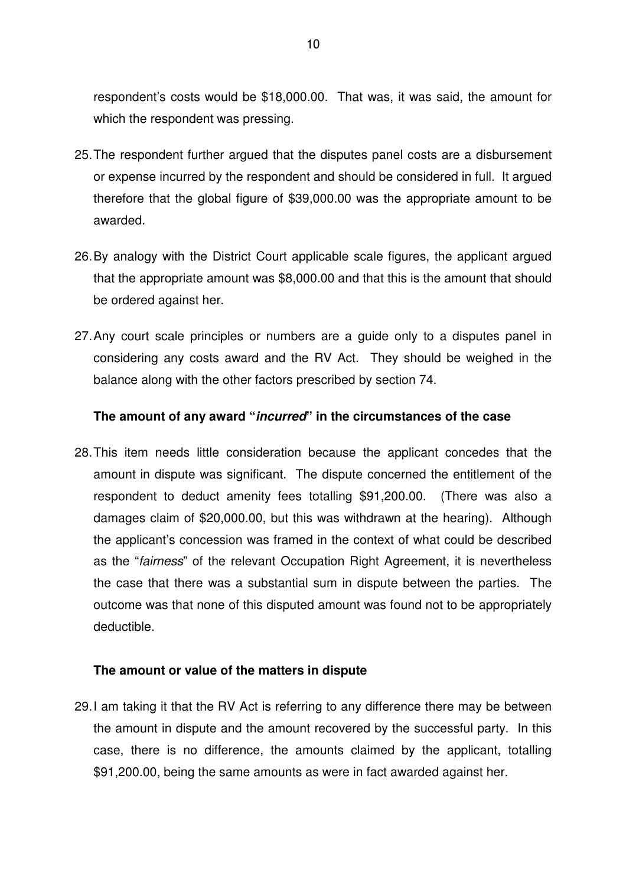respondent's costs would be \$18,000.00. That was, it was said, the amount for which the respondent was pressing.

- 25. The respondent further argued that the disputes panel costs are a disbursement or expense incurred by the respondent and should be considered in full. It argued therefore that the global figure of \$39,000.00 was the appropriate amount to be awarded.
- 26. By analogy with the District Court applicable scale figures, the applicant argued that the appropriate amount was \$8,000.00 and that this is the amount that should be ordered against her.
- 27. Any court scale principles or numbers are a guide only to a disputes panel in considering any costs award and the RV Act. They should be weighed in the balance along with the other factors prescribed by section 74.

## **The amount of any award "incurred" in the circumstances of the case**

28. This item needs little consideration because the applicant concedes that the amount in dispute was significant. The dispute concerned the entitlement of the respondent to deduct amenity fees totalling \$91,200.00. (There was also a damages claim of \$20,000.00, but this was withdrawn at the hearing). Although the applicant's concession was framed in the context of what could be described as the "fairness" of the relevant Occupation Right Agreement, it is nevertheless the case that there was a substantial sum in dispute between the parties. The outcome was that none of this disputed amount was found not to be appropriately deductible.

### **The amount or value of the matters in dispute**

29. I am taking it that the RV Act is referring to any difference there may be between the amount in dispute and the amount recovered by the successful party. In this case, there is no difference, the amounts claimed by the applicant, totalling \$91,200.00, being the same amounts as were in fact awarded against her.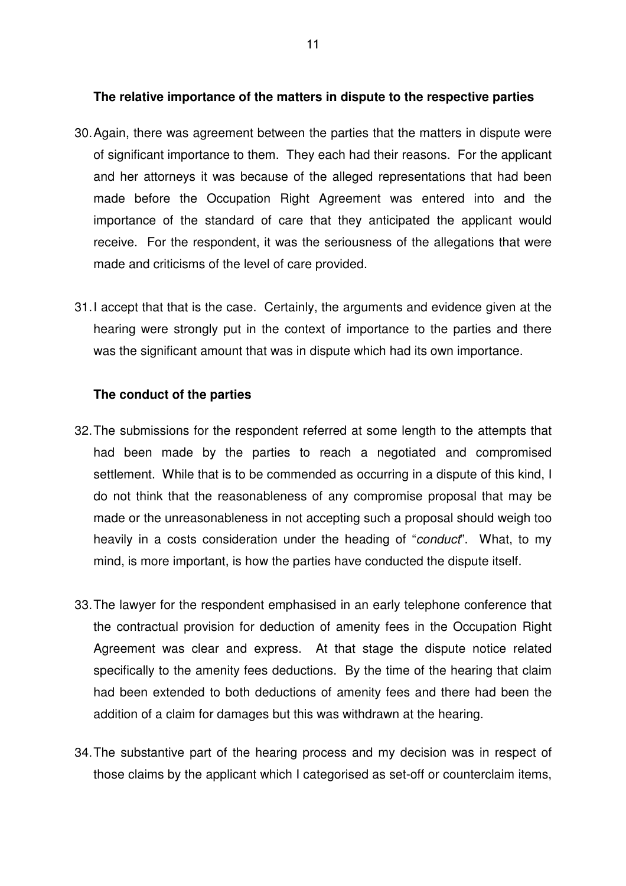#### **The relative importance of the matters in dispute to the respective parties**

- 30. Again, there was agreement between the parties that the matters in dispute were of significant importance to them. They each had their reasons. For the applicant and her attorneys it was because of the alleged representations that had been made before the Occupation Right Agreement was entered into and the importance of the standard of care that they anticipated the applicant would receive. For the respondent, it was the seriousness of the allegations that were made and criticisms of the level of care provided.
- 31. I accept that that is the case. Certainly, the arguments and evidence given at the hearing were strongly put in the context of importance to the parties and there was the significant amount that was in dispute which had its own importance.

#### **The conduct of the parties**

- 32. The submissions for the respondent referred at some length to the attempts that had been made by the parties to reach a negotiated and compromised settlement. While that is to be commended as occurring in a dispute of this kind, I do not think that the reasonableness of any compromise proposal that may be made or the unreasonableness in not accepting such a proposal should weigh too heavily in a costs consideration under the heading of "conduct". What, to my mind, is more important, is how the parties have conducted the dispute itself.
- 33. The lawyer for the respondent emphasised in an early telephone conference that the contractual provision for deduction of amenity fees in the Occupation Right Agreement was clear and express. At that stage the dispute notice related specifically to the amenity fees deductions. By the time of the hearing that claim had been extended to both deductions of amenity fees and there had been the addition of a claim for damages but this was withdrawn at the hearing.
- 34. The substantive part of the hearing process and my decision was in respect of those claims by the applicant which I categorised as set-off or counterclaim items,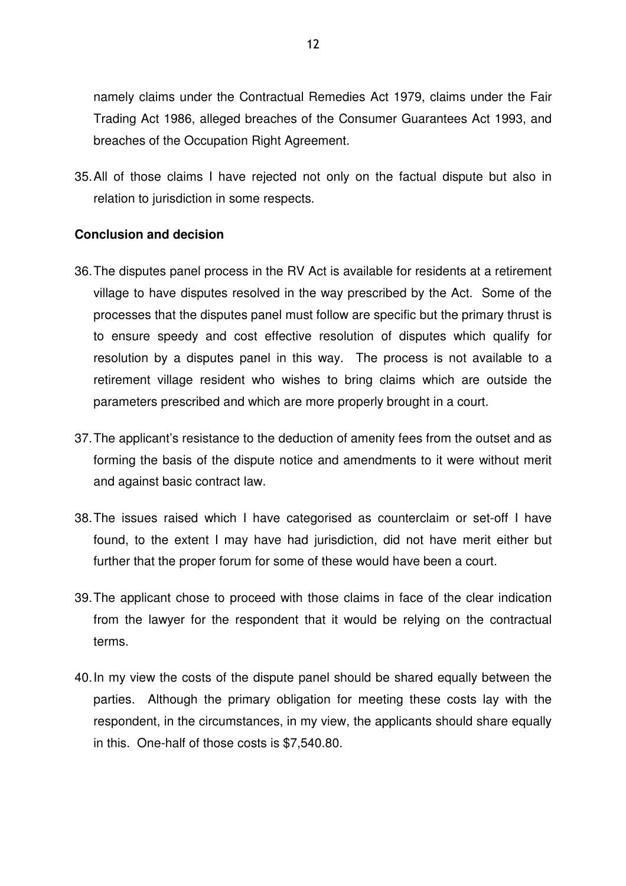namely claims under the Contractual Remedies Act 1979, claims under the Fair Trading Act 1986, alleged breaches of the Consumer Guarantees Act 1993, and breaches of the Occupation Right Agreement.

35. All of those claims I have rejected not only on the factual dispute but also in relation to jurisdiction in some respects.

### **Conclusion and decision**

- 36. The disputes panel process in the RV Act is available for residents at a retirement village to have disputes resolved in the way prescribed by the Act. Some of the processes that the disputes panel must follow are specific but the primary thrust is to ensure speedy and cost effective resolution of disputes which qualify for resolution by a disputes panel in this way. The process is not available to a retirement village resident who wishes to bring claims which are outside the parameters prescribed and which are more properly brought in a court.
- 37. The applicant's resistance to the deduction of amenity fees from the outset and as forming the basis of the dispute notice and amendments to it were without merit and against basic contract law.
- 38. The issues raised which I have categorised as counterclaim or set-off I have found, to the extent I may have had jurisdiction, did not have merit either but further that the proper forum for some of these would have been a court.
- 39. The applicant chose to proceed with those claims in face of the clear indication from the lawyer for the respondent that it would be relying on the contractual terms.
- 40. In my view the costs of the dispute panel should be shared equally between the parties. Although the primary obligation for meeting these costs lay with the respondent, in the circumstances, in my view, the applicants should share equally in this. One-half of those costs is \$7,540.80.